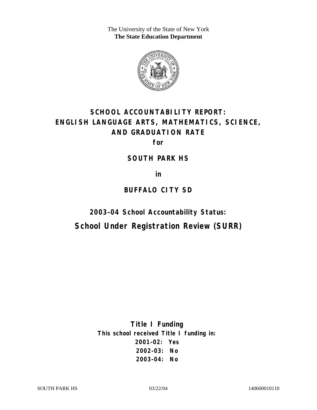The University of the State of New York **The State Education Department** 



# **SCHOOL ACCOUNTABILITY REPORT: ENGLISH LANGUAGE ARTS, MATHEMATICS, SCIENCE, AND GRADUATION RATE**

**for** 

### **SOUTH PARK HS**

**in** 

# **BUFFALO CITY SD**

**2003–04 School Accountability Status:** 

**School Under Registration Review (SURR)** 

**Title I Funding This school received Title I funding in: 2001–02: Yes 2002–03: No 2003–04: No**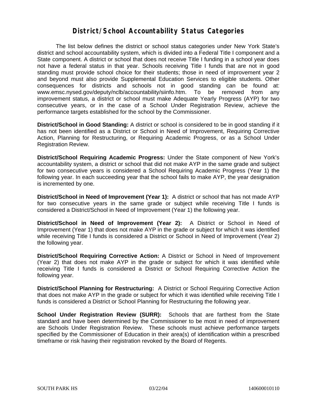### **District/School Accountability Status Categories**

The list below defines the district or school status categories under New York State's district and school accountability system, which is divided into a Federal Title I component and a State component. A district or school that does not receive Title I funding in a school year does not have a federal status in that year. Schools receiving Title I funds that are not in good standing must provide school choice for their students; those in need of improvement year 2 and beyond must also provide Supplemental Education Services to eligible students. Other consequences for districts and schools not in good standing can be found at: www.emsc.nysed.gov/deputy/nclb/accountability/siinfo.htm. To be removed from any improvement status, a district or school must make Adequate Yearly Progress (AYP) for two consecutive years, or in the case of a School Under Registration Review, achieve the performance targets established for the school by the Commissioner.

**District/School in Good Standing:** A district or school is considered to be in good standing if it has not been identified as a District or School in Need of Improvement, Requiring Corrective Action, Planning for Restructuring, or Requiring Academic Progress, or as a School Under Registration Review.

**District/School Requiring Academic Progress:** Under the State component of New York's accountability system, a district or school that did not make AYP in the same grade and subject for two consecutive years is considered a School Requiring Academic Progress (Year 1) the following year. In each succeeding year that the school fails to make AYP, the year designation is incremented by one.

**District/School in Need of Improvement (Year 1):** A district or school that has not made AYP for two consecutive years in the same grade or subject while receiving Title I funds is considered a District/School in Need of Improvement (Year 1) the following year.

**District/School in Need of Improvement (Year 2):** A District or School in Need of Improvement (Year 1) that does not make AYP in the grade or subject for which it was identified while receiving Title I funds is considered a District or School in Need of Improvement (Year 2) the following year.

**District/School Requiring Corrective Action:** A District or School in Need of Improvement (Year 2) that does not make AYP in the grade or subject for which it was identified while receiving Title I funds is considered a District or School Requiring Corrective Action the following year.

**District/School Planning for Restructuring:** A District or School Requiring Corrective Action that does not make AYP in the grade or subject for which it was identified while receiving Title I funds is considered a District or School Planning for Restructuring the following year.

**School Under Registration Review (SURR):** Schools that are farthest from the State standard and have been determined by the Commissioner to be most in need of improvement are Schools Under Registration Review. These schools must achieve performance targets specified by the Commissioner of Education in their area(s) of identification within a prescribed timeframe or risk having their registration revoked by the Board of Regents.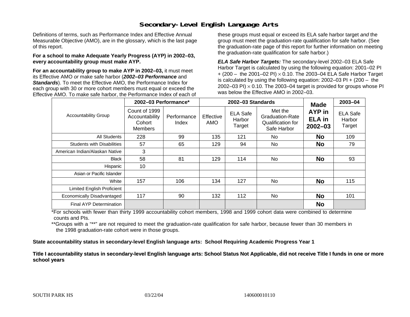## **Secondary-Level English Language Arts**

Definitions of terms, such as Performance Index and Effective Annual Measurable Objective (AMO), are in the glossary, which is the last page of this report.

#### **For a school to make Adequate Yearly Progress (AYP) in 2002–03, every accountability group must make AYP.**

**For an accountability group to make AYP in 2002–03,** it must meet its Effective AMO *or* make safe harbor (*2002–03 Performance* and *Standards*). To meet the Effective AMO, the Performance Index for each group with 30 or more cohort members must equal or exceed the Effective AMO. To make safe harbor, the Performance Index of each of these groups must equal or exceed its ELA safe harbor target *and* the group must meet the graduation-rate qualification for safe harbor. (See the graduation-rate page of this report for further information on meeting the graduation-rate qualification for safe harbor.)

*ELA Safe Harbor Targets:* The secondary-level 2002–03 ELA Safe Harbor Target is calculated by using the following equation: 2001–02 PI + (200 – the 2001–02 PI) <sup>×</sup> 0.10. The 2003–04 ELA Safe Harbor Target is calculated by using the following equation: 2002–03 PI + (200 – the 2002–03 PI)  $\times$  0.10. The 2003–04 target is provided for groups whose PI was below the Effective AMO in 2002–03.

|                                   | 2002-03 Performance*                                        |                      | 2002-03 Standards |                                     |                                                                       | <b>Made</b>                            | 2003-04                             |
|-----------------------------------|-------------------------------------------------------------|----------------------|-------------------|-------------------------------------|-----------------------------------------------------------------------|----------------------------------------|-------------------------------------|
| <b>Accountability Group</b>       | Count of 1999<br>Accountability<br>Cohort<br><b>Members</b> | Performance<br>Index | Effective<br>AMO  | <b>ELA Safe</b><br>Harbor<br>Target | Met the<br><b>Graduation-Rate</b><br>Qualification for<br>Safe Harbor | AYP in<br><b>ELA</b> in<br>$2002 - 03$ | <b>ELA Safe</b><br>Harbor<br>Target |
| All Students                      | 228                                                         | 99                   | 135               | 121                                 | No.                                                                   | <b>No</b>                              | 109                                 |
| <b>Students with Disabilities</b> | 57                                                          | 65                   | 129               | 94                                  | No.                                                                   | <b>No</b>                              | 79                                  |
| American Indian/Alaskan Native    | 3                                                           |                      |                   |                                     |                                                                       |                                        |                                     |
| <b>Black</b>                      | 58                                                          | 81                   | 129               | 114                                 | No.                                                                   | <b>No</b>                              | 93                                  |
| Hispanic                          | 10                                                          |                      |                   |                                     |                                                                       |                                        |                                     |
| Asian or Pacific Islander         |                                                             |                      |                   |                                     |                                                                       |                                        |                                     |
| White                             | 157                                                         | 106                  | 134               | 127                                 | No                                                                    | <b>No</b>                              | 115                                 |
| Limited English Proficient        |                                                             |                      |                   |                                     |                                                                       |                                        |                                     |
| Economically Disadvantaged        | 117                                                         | 90                   | 132               | 112                                 | No                                                                    | <b>No</b>                              | 101                                 |
| Final AYP Determination           |                                                             |                      |                   |                                     |                                                                       | <b>No</b>                              |                                     |

\*For schools with fewer than thirty 1999 accountability cohort members, 1998 and 1999 cohort data were combined to determine counts and PIs.

\*\*Groups with a "\*\*" are not required to meet the graduation-rate qualification for safe harbor, because fewer than 30 members in the 1998 graduation-rate cohort were in those groups.

**State accountability status in secondary-level English language arts: School Requiring Academic Progress Year 1** 

Title I accountability status in secondary-level English language arts: School Status Not Applicable, did not receive Title I funds in one or more **school y ears**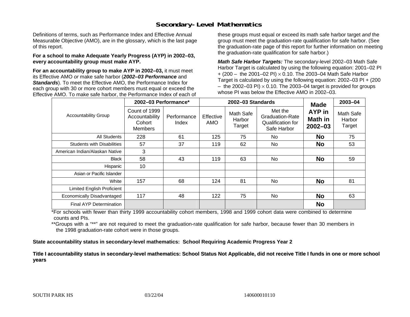### **Secondary-Level Mathematics**

Definitions of terms, such as Performance Index and Effective Annual Measurable Objective (AMO), are in the glossary, which is the last page of this report.

#### **For a school to make Adequate Yearly Progress (AYP) in 2002–03, every accountability group must make AYP.**

**For an accountability group to make AYP in 2002–03,** it must meet its Effective AMO *or* make safe harbor (*2002–03 Performance* and *Standards*). To meet the Effective AMO, the Performance Index for each group with 30 or more cohort members must equal or exceed the Effective AMO. To make safe harbor, the Performance Index of each of these groups must equal or exceed its math safe harbor target *and* the group must meet the graduation-rate qualification for safe harbor. (See the graduation-rate page of this report for further information on meeting the graduation-rate qualification for safe harbor.)

*Math Safe Harbor Targets:* The secondary-level 2002–03 Math Safe Harbor Target is calculated by using the following equation: 2001–02 PI + (200 – the 2001–02 PI) × 0.10. The 2003–04 Math Safe Harbor Target is calculated by using the following equation: 2002–03 PI + (200  $-$  the 2002–03 PI)  $\times$  0.10. The 2003–04 target is provided for groups whose PI was below the Effective AMO in 2002–03.

|                                   | 2002-03 Performance*                                        |                      | 2002-03 Standards |                               |                                                                       | <b>Made</b>                      | 2003-04                       |
|-----------------------------------|-------------------------------------------------------------|----------------------|-------------------|-------------------------------|-----------------------------------------------------------------------|----------------------------------|-------------------------------|
| <b>Accountability Group</b>       | Count of 1999<br>Accountability<br>Cohort<br><b>Members</b> | Performance<br>Index | Effective<br>AMO  | Math Safe<br>Harbor<br>Target | Met the<br><b>Graduation-Rate</b><br>Qualification for<br>Safe Harbor | AYP in<br>Math in<br>$2002 - 03$ | Math Safe<br>Harbor<br>Target |
| All Students                      | 228                                                         | 61                   | 125               | 75                            | No.                                                                   | <b>No</b>                        | 75                            |
| <b>Students with Disabilities</b> | 57                                                          | 37                   | 119               | 62                            | No.                                                                   | <b>No</b>                        | 53                            |
| American Indian/Alaskan Native    | 3                                                           |                      |                   |                               |                                                                       |                                  |                               |
| <b>Black</b>                      | 58                                                          | 43                   | 119               | 63                            | No                                                                    | <b>No</b>                        | 59                            |
| Hispanic                          | 10                                                          |                      |                   |                               |                                                                       |                                  |                               |
| Asian or Pacific Islander         |                                                             |                      |                   |                               |                                                                       |                                  |                               |
| White                             | 157                                                         | 68                   | 124               | 81                            | No.                                                                   | <b>No</b>                        | 81                            |
| Limited English Proficient        |                                                             |                      |                   |                               |                                                                       |                                  |                               |
| Economically Disadvantaged        | 117                                                         | 48                   | 122               | 75                            | No                                                                    | <b>No</b>                        | 63                            |
| Final AYP Determination           |                                                             |                      |                   |                               |                                                                       | <b>No</b>                        |                               |

\*For schools with fewer than thirty 1999 accountability cohort members, 1998 and 1999 cohort data were combined to determine counts and PIs.

\*\*Groups with a "\*\*" are not required to meet the graduation-rate qualification for safe harbor, because fewer than 30 members in the 1998 graduation-rate cohort were in those groups.

**State accountability status in secondary-level mathematics: School Requiring Academic Progress Year 2** 

Title I accountability status in secondary-level mathematics: School Status Not Applicable, did not receive Title I funds in one or more school **y ears**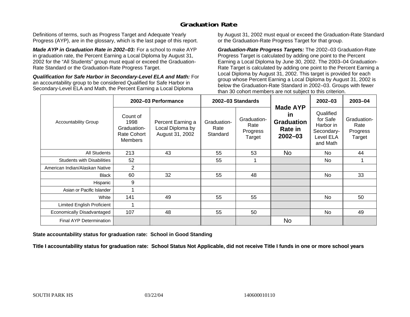## **Graduation Rate**

Definitions of terms, such as Progress Target and Adequate Yearly Progress (AYP), are in the glossary, which is the last page of this report.

*Made AYP in Graduation Rate in 2002–03:* For a school to make AYP in graduation rate, the Percent Earning a Local Diploma by August 31, 2002 for the "All Students" group must equal or exceed the Graduation-Rate Standard or the Graduation-Rate Progress Target.

*Qualification for Safe Harbor in Secondary-Level ELA and Math:* For an accountability group to be considered Qualified for Safe Harbor in Secondary-Level ELA and Math, the Percent Earning a Local Diploma

by August 31, 2002 must equal or exceed the Graduation-Rate Standard or the Graduation-Rate Progress Target for that group.

*Graduation-Rate Progress Targets:* The 2002–03 Graduation-Rate Progress Target is calculated by adding one point to the Percent Earning a Local Diploma by June 30, 2002. The 2003–04 Graduation-Rate Target is calculated by adding one point to the Percent Earning a Local Diploma by August 31, 2002. This target is provided for each group whose Percent Earning a Local Diploma by August 31, 2002 is below the Graduation-Rate Standard in 2002–03. Groups with fewer than 30 cohort members are not subject to this criterion.

|                                   | 2002-03 Performance                                              |                                                          | 2002-03 Standards               |                                           |                                                                             | 2002-03                                                                   | 2003-04                                   |
|-----------------------------------|------------------------------------------------------------------|----------------------------------------------------------|---------------------------------|-------------------------------------------|-----------------------------------------------------------------------------|---------------------------------------------------------------------------|-------------------------------------------|
| <b>Accountability Group</b>       | Count of<br>1998<br>Graduation-<br>Rate Cohort<br><b>Members</b> | Percent Earning a<br>Local Diploma by<br>August 31, 2002 | Graduation-<br>Rate<br>Standard | Graduation-<br>Rate<br>Progress<br>Target | <b>Made AYP</b><br><u>in</u><br><b>Graduation</b><br>Rate in<br>$2002 - 03$ | Qualified<br>for Safe<br>Harbor in<br>Secondary-<br>Level ELA<br>and Math | Graduation-<br>Rate<br>Progress<br>Target |
| All Students                      | 213                                                              | 43                                                       | 55                              | 53                                        | <b>No</b>                                                                   | No.                                                                       | 44                                        |
| <b>Students with Disabilities</b> | 52                                                               |                                                          | 55                              |                                           |                                                                             | No                                                                        |                                           |
| American Indian/Alaskan Native    | $\overline{2}$                                                   |                                                          |                                 |                                           |                                                                             |                                                                           |                                           |
| <b>Black</b>                      | 60                                                               | 32                                                       | 55                              | 48                                        |                                                                             | No                                                                        | 33                                        |
| Hispanic                          | 9                                                                |                                                          |                                 |                                           |                                                                             |                                                                           |                                           |
| Asian or Pacific Islander         |                                                                  |                                                          |                                 |                                           |                                                                             |                                                                           |                                           |
| White                             | 141                                                              | 49                                                       | 55                              | 55                                        |                                                                             | No                                                                        | 50                                        |
| Limited English Proficient        | 1                                                                |                                                          |                                 |                                           |                                                                             |                                                                           |                                           |
| Economically Disadvantaged        | 107                                                              | 48                                                       | 55                              | 50                                        |                                                                             | No                                                                        | 49                                        |
| <b>Final AYP Determination</b>    |                                                                  |                                                          |                                 |                                           | <b>No</b>                                                                   |                                                                           |                                           |

**State accountability status for graduation rate: School in Good Standing** 

Title I accountability status for graduation rate: School Status Not Applicable, did not receive Title I funds in one or more school years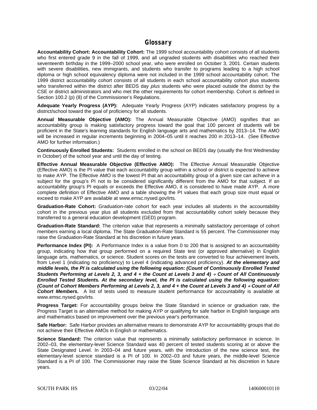#### **Glossary**

**Accountability Cohort: Accountability Cohort:** The 1999 school accountability cohort consists of all students who first entered grade 9 in the fall of 1999, and all ungraded students with disabilities who reached their seventeenth birthday in the 1999–2000 school year, who were enrolled on October 3, 2001. Certain students with severe disabilities, new immigrants, and students who transfer to programs leading to a high school diploma or high school equivalency diploma were not included in the 1999 school accountability cohort. The 1999 district accountability cohort consists of all students in each school accountability cohort plus students who transferred within the district after BEDS day *plus* students who were placed outside the district by the CSE or district administrators and who met the other requirements for cohort membership. Cohort is defined in Section 100.2 (p) (8) of the Commissioner's Regulations.

**Adequate Yearly Progress (AYP):** Adequate Yearly Progress (AYP) indicates satisfactory progress by a district/school toward the goal of proficiency for all students.

**Annual Measurable Objective (AMO):** The Annual Measurable Objective (AMO) signifies that an accountability group is making satisfactory progress toward the goal that 100 percent of students will be proficient in the State's learning standards for English language arts and mathematics by 2013–14. The AMO will be increased in regular increments beginning in 2004–05 until it reaches 200 in 2013–14. (See Effective AMO for further information.)

**Continuously Enrolled Students:** Students enrolled in the school on BEDS day (usually the first Wednesday in October) of the school year and until the day of testing.

**Effective Annual Measurable Objective (Effective AMO):** The Effective Annual Measurable Objective (Effective AMO) is the PI value that each accountability group within a school or district is expected to achieve to make AYP. The Effective AMO is the lowest PI that an accountability group of a given size can achieve in a subject for the group's PI not to be considered significantly different from the AMO for that subject. If an accountability group's PI equals or exceeds the Effective AMO, it is considered to have made AYP. A more complete definition of Effective AMO and a table showing the PI values that each group size must equal or exceed to make AYP are available at www.emsc.nysed.gov/irts.

**Graduation-Rate Cohort:** Graduation-rate cohort for each year includes all students in the accountability cohort in the previous year plus all students excluded from that accountability cohort solely because they transferred to a general education development (GED) program.

**Graduation-Rate Standard:** The criterion value that represents a minimally satisfactory percentage of cohort members earning a local diploma. The State Graduation-Rate Standard is 55 percent. The Commissioner may raise the Graduation-Rate Standard at his discretion in future years.

**Performance Index (PI):** A Performance Index is a value from 0 to 200 that is assigned to an accountability group, indicating how that group performed on a required State test (or approved alternative) in English language arts, mathematics, or science. Student scores on the tests are converted to four achievement levels, from Level 1 (indicating no proficiency) to Level 4 (indicating advanced proficiency). *At the elementary and middle levels, the PI is calculated using the following equation: (Count of Continuously Enrolled Tested Students Performing at Levels 2, 3, and 4 + the Count at Levels 3 and 4) + Count of All Continuously Enrolled Tested Students. At the secondary level, the PI is calculated using the following equation: (Count of Cohort Members Performing at Levels 2, 3, and 4 + the Count at Levels 3 and 4) + Count of All Cohort Members.* A list of tests used to measure student performance for accountability is available at www.emsc.nysed.gov/irts.

**Progress Target:** For accountability groups below the State Standard in science or graduation rate, the Progress Target is an alternative method for making AYP or qualifying for safe harbor in English language arts and mathematics based on improvement over the previous year's performance.

**Safe Harbor:** Safe Harbor provides an alternative means to demonstrate AYP for accountability groups that do not achieve their Effective AMOs in English or mathematics.

**Science Standard:** The criterion value that represents a minimally satisfactory performance in science. In 2002–03, the elementary-level Science Standard was 40 percent of tested students scoring at or above the State Designated Level. In 2003–04 and future years, with the introduction of the new science test, the elementary-level science standard is a PI of 100. In 2002–03 and future years, the middle-level Science Standard is a PI of 100. The Commissioner may raise the State Science Standard at his discretion in future years.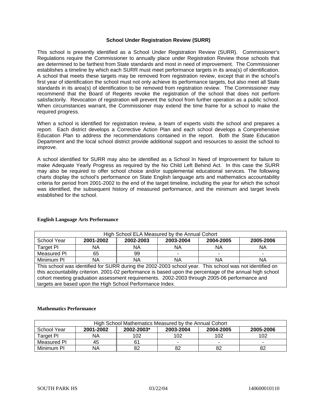#### **School Under Registration Review (SURR)**

This school is presently identified as a School Under Registration Review (SURR). Commissioner's Regulations require the Commissioner to annually place under Registration Review those schools that are determined to be farthest from State standards and most in need of improvement. The Commissioner establishes a timeline by which each SURR must meet performance targets in its area(s) of identification. A school that meets these targets may be removed from registration review, except that in the school's first year of identification the school must not only achieve its performance targets, but also meet all State standards in its area(s) of identification to be removed from registration review. The Commissioner may recommend that the Board of Regents revoke the registration of the school that does not perform satisfactorily. Revocation of registration will prevent the school from further operation as a public school. When circumstances warrant, the Commissioner may extend the time frame for a school to make the required progress.

When a school is identified for registration review, a team of experts visits the school and prepares a report. Each district develops a Corrective Action Plan and each school develops a Comprehensive Education Plan to address the recommendations contained in the report. Both the State Education Department and the local school district provide additional support and resources to assist the school to improve.

A school identified for SURR may also be identified as a School In Need of Improvement for failure to make Adequate Yearly Progress as required by the No Child Left Behind Act. In this case the SURR may also be required to offer school choice and/or supplemental educational services. The following charts display the school's performance on State English language arts and mathematics accountability criteria for period from 2001-2002 to the end of the target timeline, including the year for which the school was identified, the subsequent history of measured performance, and the minimum and target levels established for the school.

| High School ELA Measured by the Annual Conort                                                             |           |           |           |           |           |  |  |
|-----------------------------------------------------------------------------------------------------------|-----------|-----------|-----------|-----------|-----------|--|--|
| School Year                                                                                               | 2001-2002 | 2002-2003 | 2003-2004 | 2004-2005 | 2005-2006 |  |  |
| Target PI                                                                                                 | NA        | ΝA        | ΝA        | ΝA        | ΝA        |  |  |
| Measured PI                                                                                               | 65        | 99        |           |           |           |  |  |
| Minimum PI                                                                                                | NA        | NA        | ΝA        | ΝA        | ΝA        |  |  |
| This school was identified for SURR during the 2002-2003 school year. This school was not identified on   |           |           |           |           |           |  |  |
| this accountability criterion. 2001-02 performance is based upon the percentage of the annual high school |           |           |           |           |           |  |  |
| cohort meeting graduation assessment requirements. 2002-2003 through 2005-06 performance and              |           |           |           |           |           |  |  |
| targets are based upon the High School Performance Index.                                                 |           |           |           |           |           |  |  |

High School ELA Measured by the Annual Cohort

#### **English Language Arts Performance**

#### **Mathematics Performance**

| High School Mathematics Measured by the Annual Cohort |                                                                |     |     |     |     |  |  |  |
|-------------------------------------------------------|----------------------------------------------------------------|-----|-----|-----|-----|--|--|--|
| School Year                                           | 2001-2002<br>2002-2003*<br>2003-2004<br>2004-2005<br>2005-2006 |     |     |     |     |  |  |  |
| Target PI                                             | NA                                                             | 102 | 102 | 102 | 102 |  |  |  |
| Measured PI                                           | 45                                                             | 61  | -   | -   |     |  |  |  |
| Minimum PI                                            | NA                                                             | 82  | 82  | 82  |     |  |  |  |